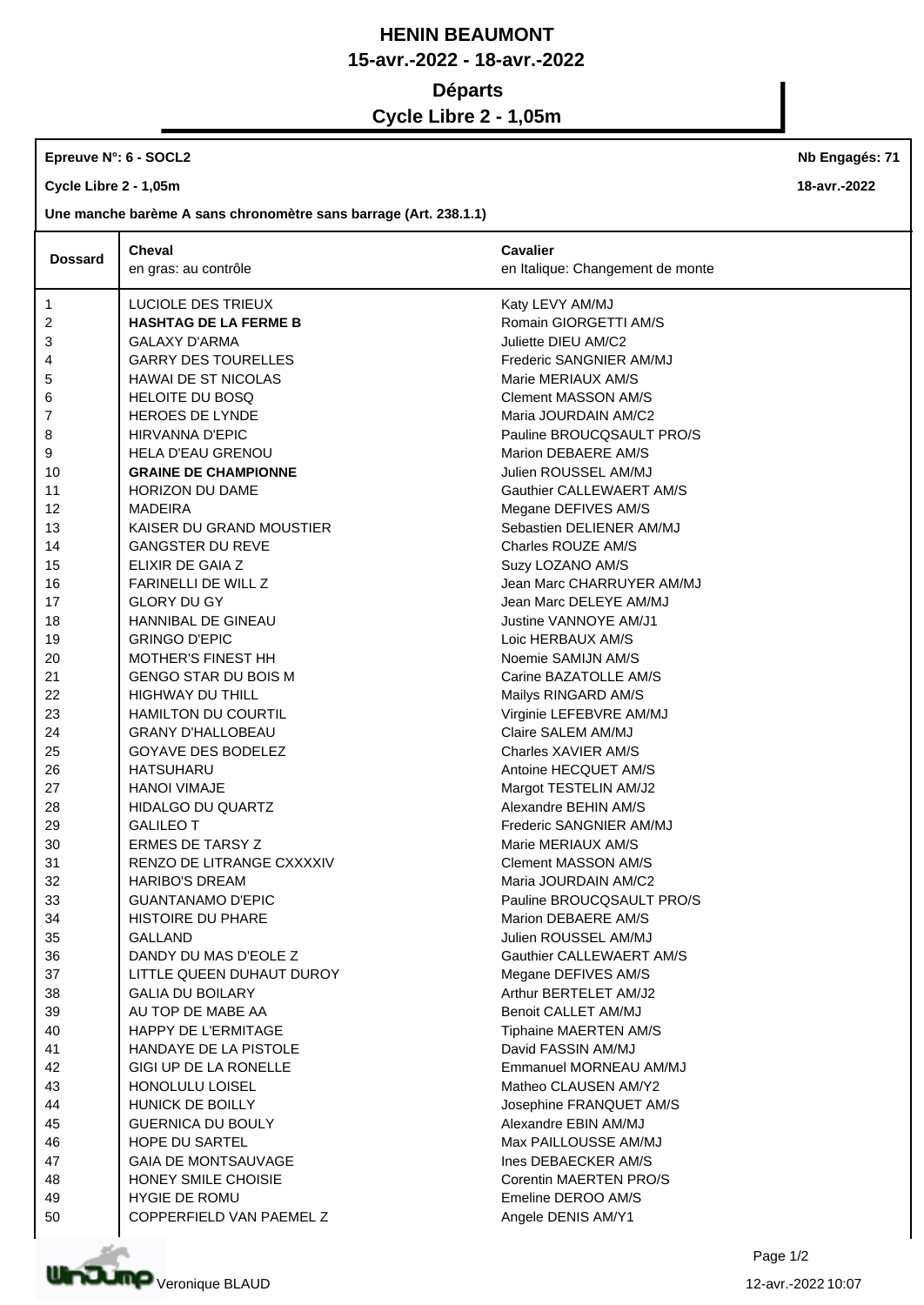## **HENIN BEAUMONT 15-avr.-2022 - 18-avr.-2022 Départs**

**Cycle Libre 2 - 1,05m**

## **Epreuve N°: 6 - SOCL2**

**Cycle Libre 2 - 1,05m**

**Une manche barème A sans chronomètre sans barrage (Art. 238.1.1)**

|                | <b>Cheval</b>                | <b>Cavalier</b>                  |
|----------------|------------------------------|----------------------------------|
| <b>Dossard</b> | en gras: au contrôle         | en Italique: Changement de monte |
| 1              | LUCIOLE DES TRIEUX           | Katy LEVY AM/MJ                  |
| 2              | <b>HASHTAG DE LA FERME B</b> | Romain GIORGETTI AM/S            |
| 3              | <b>GALAXY D'ARMA</b>         | Juliette DIEU AM/C2              |
| 4              | <b>GARRY DES TOURELLES</b>   | Frederic SANGNIER AM/MJ          |
| 5              | <b>HAWAI DE ST NICOLAS</b>   | Marie MERIAUX AM/S               |
| 6              | <b>HELOITE DU BOSQ</b>       | <b>Clement MASSON AM/S</b>       |
| 7              | HEROES DE LYNDE              | Maria JOURDAIN AM/C2             |
| 8              | HIRVANNA D'EPIC              | Pauline BROUCQSAULT PRO/S        |
| 9              | <b>HELA D'EAU GRENOU</b>     | Marion DEBAERE AM/S              |
| 10             | <b>GRAINE DE CHAMPIONNE</b>  | Julien ROUSSEL AM/MJ             |
| 11             | <b>HORIZON DU DAME</b>       | Gauthier CALLEWAERT AM/S         |
| 12             | MADEIRA                      | Megane DEFIVES AM/S              |
| 13             | KAISER DU GRAND MOUSTIER     | Sebastien DELIENER AM/MJ         |
| 14             | <b>GANGSTER DU REVE</b>      | Charles ROUZE AM/S               |
| 15             | ELIXIR DE GAIA Z             | Suzy LOZANO AM/S                 |
| 16             | FARINELLI DE WILL Z          | Jean Marc CHARRUYER AM/MJ        |
| 17             | <b>GLORY DU GY</b>           | Jean Marc DELEYE AM/MJ           |
| 18             | HANNIBAL DE GINEAU           | Justine VANNOYE AM/J1            |
| 19             | <b>GRINGO D'EPIC</b>         | Loic HERBAUX AM/S                |
| 20             | <b>MOTHER'S FINEST HH</b>    | Noemie SAMIJN AM/S               |
| 21             | <b>GENGO STAR DU BOIS M</b>  | Carine BAZATOLLE AM/S            |
| 22             | <b>HIGHWAY DU THILL</b>      | Mailys RINGARD AM/S              |
| 23             | <b>HAMILTON DU COURTIL</b>   | Virginie LEFEBVRE AM/MJ          |
| 24             | <b>GRANY D'HALLOBEAU</b>     | Claire SALEM AM/MJ               |
| 25             | <b>GOYAVE DES BODELEZ</b>    | Charles XAVIER AM/S              |
| 26             | HATSUHARU                    | Antoine HECQUET AM/S             |
| 27             | <b>HANOI VIMAJE</b>          | Margot TESTELIN AM/J2            |
| 28             | HIDALGO DU QUARTZ            | Alexandre BEHIN AM/S             |
| 29             | <b>GALILEO T</b>             | Frederic SANGNIER AM/MJ          |
| 30             | <b>ERMES DE TARSY Z</b>      | Marie MERIAUX AM/S               |
| 31             | RENZO DE LITRANGE CXXXXIV    | <b>Clement MASSON AM/S</b>       |
| 32             | <b>HARIBO'S DREAM</b>        | Maria JOURDAIN AM/C2             |
| 33             | <b>GUANTANAMO D'EPIC</b>     | Pauline BROUCQSAULT PRO/S        |
| 34             | <b>HISTOIRE DU PHARE</b>     | Marion DEBAERE AM/S              |
| 35             | <b>GALLAND</b>               | Julien ROUSSEL AM/MJ             |
| 36             | DANDY DU MAS D'EOLE Z        | Gauthier CALLEWAERT AM/S         |
| 37             | LITTLE QUEEN DUHAUT DUROY    | Megane DEFIVES AM/S              |
| 38             | <b>GALIA DU BOILARY</b>      | Arthur BERTELET AM/J2            |
| 39             | AU TOP DE MABE AA            | Benoit CALLET AM/MJ              |
| 40             | <b>HAPPY DE L'ERMITAGE</b>   | Tiphaine MAERTEN AM/S            |
| 41             | HANDAYE DE LA PISTOLE        | David FASSIN AM/MJ               |
| 42             | GIGI UP DE LA RONELLE        | Emmanuel MORNEAU AM/MJ           |
| 43             | HONOLULU LOISEL              | Matheo CLAUSEN AM/Y2             |
| 44             | HUNICK DE BOILLY             | Josephine FRANQUET AM/S          |
| 45             | <b>GUERNICA DU BOULY</b>     | Alexandre EBIN AM/MJ             |
| 46             | HOPE DU SARTEL               | Max PAILLOUSSE AM/MJ             |
| 47             | <b>GAIA DE MONTSAUVAGE</b>   | Ines DEBAECKER AM/S              |
| 48             | HONEY SMILE CHOISIE          | Corentin MAERTEN PRO/S           |
| 49             | <b>HYGIE DE ROMU</b>         | Emeline DEROO AM/S               |
| 50             | COPPERFIELD VAN PAEMEL Z     | Angele DENIS AM/Y1               |



**Nb Engagés: 71**

**18-avr.-2022**